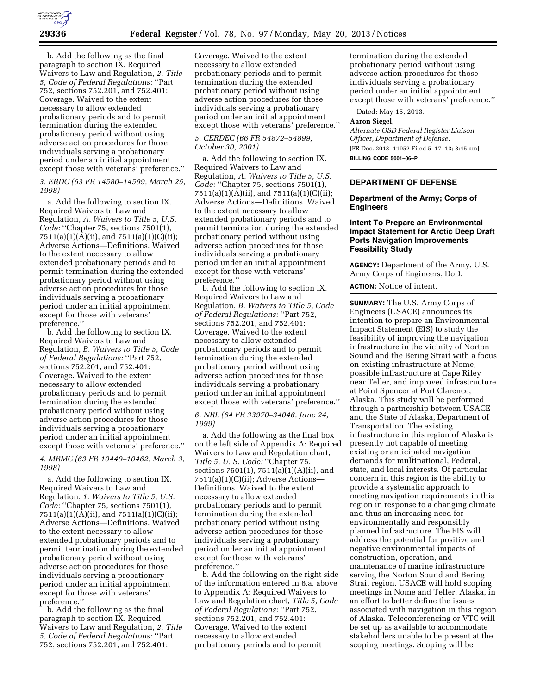

b. Add the following as the final paragraph to section IX. Required Waivers to Law and Regulation, *2. Title 5, Code of Federal Regulations:* ''Part 752, sections 752.201, and 752.401: Coverage. Waived to the extent necessary to allow extended probationary periods and to permit termination during the extended probationary period without using adverse action procedures for those individuals serving a probationary period under an initial appointment except those with veterans' preference.''

*3. ERDC (63 FR 14580–14599, March 25, 1998)* 

a. Add the following to section IX. Required Waivers to Law and Regulation, *A. Waivers to Title 5, U.S. Code:* ''Chapter 75, sections 7501(1), 7511(a)(1)( $\tilde{A}$ )(ii), and 7511(a)(1)(C)(ii); Adverse Actions—Definitions. Waived to the extent necessary to allow extended probationary periods and to permit termination during the extended probationary period without using adverse action procedures for those individuals serving a probationary period under an initial appointment except for those with veterans' preference.''

b. Add the following to section IX. Required Waivers to Law and Regulation, *B. Waivers to Title 5, Code of Federal Regulations:* ''Part 752, sections 752.201, and 752.401: Coverage. Waived to the extent necessary to allow extended probationary periods and to permit termination during the extended probationary period without using adverse action procedures for those individuals serving a probationary period under an initial appointment except those with veterans' preference.''

# *4. MRMC (63 FR 10440–10462, March 3, 1998)*

a. Add the following to section IX. Required Waivers to Law and Regulation, *1. Waivers to Title 5, U.S. Code:* ''Chapter 75, sections 7501(1), 7511(a)(1)(A)(ii), and 7511(a)(1)(C)(ii); Adverse Actions—Definitions. Waived to the extent necessary to allow extended probationary periods and to permit termination during the extended probationary period without using adverse action procedures for those individuals serving a probationary period under an initial appointment except for those with veterans' preference.''

b. Add the following as the final paragraph to section IX. Required Waivers to Law and Regulation, *2. Title 5, Code of Federal Regulations:* ''Part 752, sections 752.201, and 752.401:

Coverage. Waived to the extent necessary to allow extended probationary periods and to permit termination during the extended probationary period without using adverse action procedures for those individuals serving a probationary period under an initial appointment except those with veterans' preference.''

# *5. CERDEC (66 FR 54872–54899, October 30, 2001)*

a. Add the following to section IX. Required Waivers to Law and Regulation, *A. Waivers to Title 5, U.S. Code:* ''Chapter 75, sections 7501(1), 7511(a)(1)(A)(ii), and 7511(a)(1)(C)(ii); Adverse Actions—Definitions. Waived to the extent necessary to allow extended probationary periods and to permit termination during the extended probationary period without using adverse action procedures for those individuals serving a probationary period under an initial appointment except for those with veterans' preference.''

b. Add the following to section IX. Required Waivers to Law and Regulation, *B. Waivers to Title 5, Code of Federal Regulations:* ''Part 752, sections 752.201, and 752.401: Coverage. Waived to the extent necessary to allow extended probationary periods and to permit termination during the extended probationary period without using adverse action procedures for those individuals serving a probationary period under an initial appointment except those with veterans' preference.''

## *6. NRL (64 FR 33970–34046, June 24, 1999)*

a. Add the following as the final box on the left side of Appendix A: Required Waivers to Law and Regulation chart, *Title 5, U. S. Code:* ''Chapter 75, sections 7501(1), 7511(a)(1)(A)(ii), and 7511(a)(1)(C)(ii); Adverse Actions— Definitions. Waived to the extent necessary to allow extended probationary periods and to permit termination during the extended probationary period without using adverse action procedures for those individuals serving a probationary period under an initial appointment except for those with veterans' preference.''

b. Add the following on the right side of the information entered in 6.a. above to Appendix A: Required Waivers to Law and Regulation chart, *Title 5, Code of Federal Regulations:* ''Part 752, sections 752.201, and 752.401: Coverage. Waived to the extent necessary to allow extended probationary periods and to permit

termination during the extended probationary period without using adverse action procedures for those individuals serving a probationary period under an initial appointment except those with veterans' preference.''

Dated: May 15, 2013.

#### **Aaron Siegel,**

*Alternate OSD Federal Register Liaison Officer, Department of Defense.*  [FR Doc. 2013–11952 Filed 5–17–13; 8:45 am] **BILLING CODE 5001–06–P** 

# **DEPARTMENT OF DEFENSE**

# **Department of the Army; Corps of Engineers**

# **Intent To Prepare an Environmental Impact Statement for Arctic Deep Draft Ports Navigation Improvements Feasibility Study**

**AGENCY:** Department of the Army, U.S. Army Corps of Engineers, DoD.

**ACTION:** Notice of intent.

**SUMMARY:** The U.S. Army Corps of Engineers (USACE) announces its intention to prepare an Environmental Impact Statement (EIS) to study the feasibility of improving the navigation infrastructure in the vicinity of Norton Sound and the Bering Strait with a focus on existing infrastructure at Nome, possible infrastructure at Cape Riley near Teller, and improved infrastructure at Point Spencer at Port Clarence, Alaska. This study will be performed through a partnership between USACE and the State of Alaska, Department of Transportation. The existing infrastructure in this region of Alaska is presently not capable of meeting existing or anticipated navigation demands for multinational, Federal, state, and local interests. Of particular concern in this region is the ability to provide a systematic approach to meeting navigation requirements in this region in response to a changing climate and thus an increasing need for environmentally and responsibly planned infrastructure. The EIS will address the potential for positive and negative environmental impacts of construction, operation, and maintenance of marine infrastructure serving the Norton Sound and Bering Strait region. USACE will hold scoping meetings in Nome and Teller, Alaska, in an effort to better define the issues associated with navigation in this region of Alaska. Teleconferencing or VTC will be set up as available to accommodate stakeholders unable to be present at the scoping meetings. Scoping will be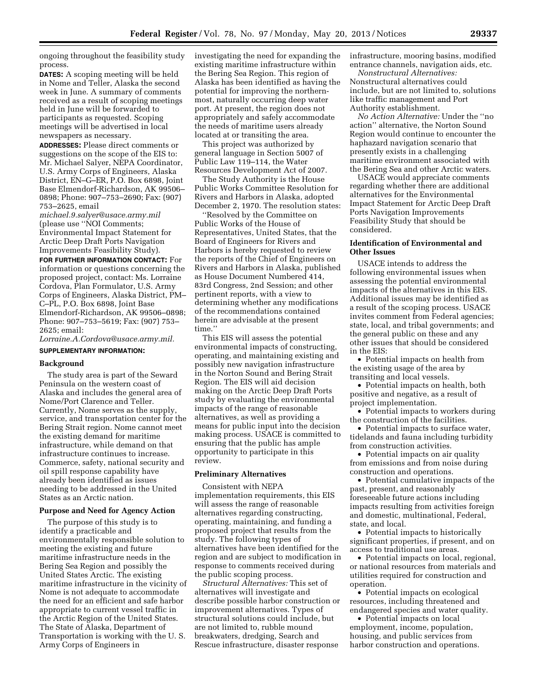ongoing throughout the feasibility study process.

**DATES:** A scoping meeting will be held in Nome and Teller, Alaska the second week in June. A summary of comments received as a result of scoping meetings held in June will be forwarded to participants as requested. Scoping meetings will be advertised in local newspapers as necessary.

**ADDRESSES:** Please direct comments or suggestions on the scope of the EIS to: Mr. Michael Salyer, NEPA Coordinator, U.S. Army Corps of Engineers, Alaska District, EN–G–ER, P.O. Box 6898, Joint Base Elmendorf-Richardson, AK 99506– 0898; Phone: 907–753–2690; Fax: (907) 753–2625, email

*[michael.9.salyer@usace.army.mil](mailto:michael.9.salyer@usace.army.mil)*  (please use ''NOI Comments; Environmental Impact Statement for Arctic Deep Draft Ports Navigation Improvements Feasibility Study).

**FOR FURTHER INFORMATION CONTACT:** For information or questions concerning the proposed project, contact: Ms. Lorraine Cordova, Plan Formulator, U.S. Army Corps of Engineers, Alaska District, PM– C–PL, P.O. Box 6898, Joint Base Elmendorf-Richardson, AK 99506–0898; Phone: 907–753–5619; Fax: (907) 753– 2625; email:

*[Lorraine.A.Cordova@usace.army.mil.](mailto:Lorraine.A.Cordova@usace.army.mil)* 

# **SUPPLEMENTARY INFORMATION:**

#### **Background**

The study area is part of the Seward Peninsula on the western coast of Alaska and includes the general area of Nome/Port Clarence and Teller. Currently, Nome serves as the supply, service, and transportation center for the Bering Strait region. Nome cannot meet the existing demand for maritime infrastructure, while demand on that infrastructure continues to increase. Commerce, safety, national security and oil spill response capability have already been identified as issues needing to be addressed in the United States as an Arctic nation.

## **Purpose and Need for Agency Action**

The purpose of this study is to identify a practicable and environmentally responsible solution to meeting the existing and future maritime infrastructure needs in the Bering Sea Region and possibly the United States Arctic. The existing maritime infrastructure in the vicinity of Nome is not adequate to accommodate the need for an efficient and safe harbor appropriate to current vessel traffic in the Arctic Region of the United States. The State of Alaska, Department of Transportation is working with the U. S. Army Corps of Engineers in

investigating the need for expanding the existing maritime infrastructure within the Bering Sea Region. This region of Alaska has been identified as having the potential for improving the northernmost, naturally occurring deep water port. At present, the region does not appropriately and safely accommodate the needs of maritime users already located at or transiting the area.

This project was authorized by general language in Section 5007 of Public Law 119–114, the Water Resources Development Act of 2007.

The Study Authority is the House Public Works Committee Resolution for Rivers and Harbors in Alaska, adopted December 2, 1970. The resolution states:

''Resolved by the Committee on Public Works of the House of Representatives, United States, that the Board of Engineers for Rivers and Harbors is hereby requested to review the reports of the Chief of Engineers on Rivers and Harbors in Alaska, published as House Document Numbered 414, 83rd Congress, 2nd Session; and other pertinent reports, with a view to determining whether any modifications of the recommendations contained herein are advisable at the present time.''

This EIS will assess the potential environmental impacts of constructing, operating, and maintaining existing and possibly new navigation infrastructure in the Norton Sound and Bering Strait Region. The EIS will aid decision making on the Arctic Deep Draft Ports study by evaluating the environmental impacts of the range of reasonable alternatives, as well as providing a means for public input into the decision making process. USACE is committed to ensuring that the public has ample opportunity to participate in this review.

#### **Preliminary Alternatives**

Consistent with NEPA implementation requirements, this EIS will assess the range of reasonable alternatives regarding constructing, operating, maintaining, and funding a proposed project that results from the study. The following types of alternatives have been identified for the region and are subject to modification in response to comments received during the public scoping process.

*Structural Alternatives:* This set of alternatives will investigate and describe possible harbor construction or improvement alternatives. Types of structural solutions could include, but are not limited to, rubble mound breakwaters, dredging, Search and Rescue infrastructure, disaster response

infrastructure, mooring basins, modified entrance channels, navigation aids, etc.

*Nonstructural Alternatives:*  Nonstructural alternatives could include, but are not limited to, solutions like traffic management and Port Authority establishment.

*No Action Alternative:* Under the ''no action'' alternative, the Norton Sound Region would continue to encounter the haphazard navigation scenario that presently exists in a challenging maritime environment associated with the Bering Sea and other Arctic waters.

USACE would appreciate comments regarding whether there are additional alternatives for the Environmental Impact Statement for Arctic Deep Draft Ports Navigation Improvements Feasibility Study that should be considered.

## **Identification of Environmental and Other Issues**

USACE intends to address the following environmental issues when assessing the potential environmental impacts of the alternatives in this EIS. Additional issues may be identified as a result of the scoping process. USACE invites comment from Federal agencies; state, local, and tribal governments; and the general public on these and any other issues that should be considered in the EIS:

• Potential impacts on health from the existing usage of the area by transiting and local vessels.

• Potential impacts on health, both positive and negative, as a result of project implementation.

• Potential impacts to workers during the construction of the facilities.

• Potential impacts to surface water, tidelands and fauna including turbidity from construction activities.

• Potential impacts on air quality from emissions and from noise during construction and operations.

• Potential cumulative impacts of the past, present, and reasonably foreseeable future actions including impacts resulting from activities foreign and domestic, multinational, Federal, state, and local.

• Potential impacts to historically significant properties, if present, and on access to traditional use areas.

• Potential impacts on local, regional, or national resources from materials and utilities required for construction and operation.

• Potential impacts on ecological resources, including threatened and endangered species and water quality.

• Potential impacts on local employment, income, population, housing, and public services from harbor construction and operations.